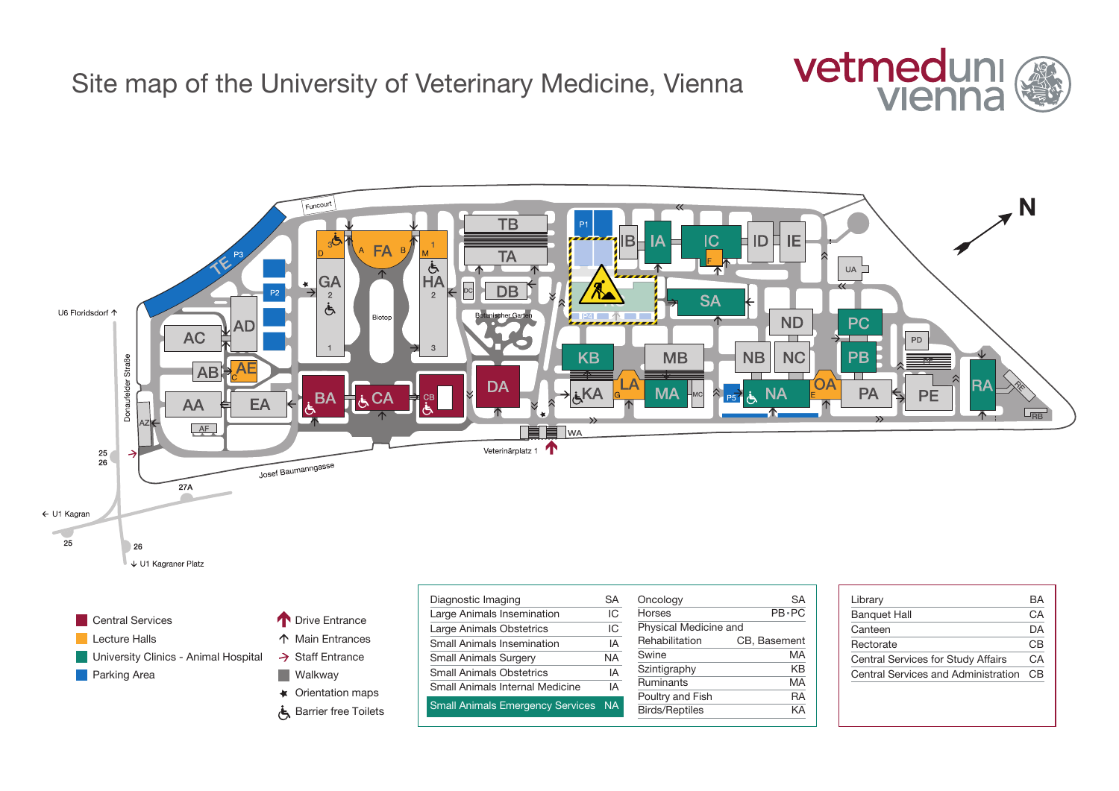Site map of the University of Veterinary Medicine, Vienna